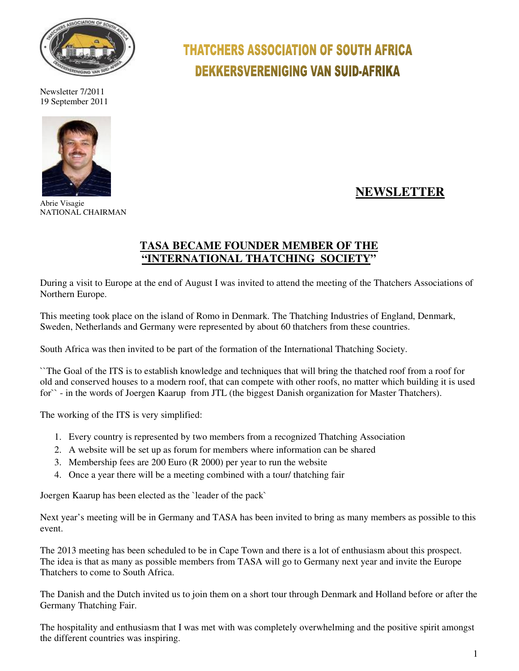

Newsletter 7/2011 19 September 2011



Abrie Visagie NATIONAL CHAIRMAN

# **THATCHERS ASSOCIATION OF SOUTH AFRICA DEKKERSVERENIGING VAN SUID-AFRIKA**

## **NEWSLETTER**

## **TASA BECAME FOUNDER MEMBER OF THE "INTERNATIONAL THATCHING SOCIETY"**

During a visit to Europe at the end of August I was invited to attend the meeting of the Thatchers Associations of Northern Europe.

This meeting took place on the island of Romo in Denmark. The Thatching Industries of England, Denmark, Sweden, Netherlands and Germany were represented by about 60 thatchers from these countries.

South Africa was then invited to be part of the formation of the International Thatching Society.

``The Goal of the ITS is to establish knowledge and techniques that will bring the thatched roof from a roof for old and conserved houses to a modern roof, that can compete with other roofs, no matter which building it is used for`` - in the words of Joergen Kaarup from JTL (the biggest Danish organization for Master Thatchers).

The working of the ITS is very simplified:

- 1. Every country is represented by two members from a recognized Thatching Association
- 2. A website will be set up as forum for members where information can be shared
- 3. Membership fees are 200 Euro (R 2000) per year to run the website
- 4. Once a year there will be a meeting combined with a tour/ thatching fair

Joergen Kaarup has been elected as the `leader of the pack`

Next year's meeting will be in Germany and TASA has been invited to bring as many members as possible to this event.

The 2013 meeting has been scheduled to be in Cape Town and there is a lot of enthusiasm about this prospect. The idea is that as many as possible members from TASA will go to Germany next year and invite the Europe Thatchers to come to South Africa.

The Danish and the Dutch invited us to join them on a short tour through Denmark and Holland before or after the Germany Thatching Fair.

The hospitality and enthusiasm that I was met with was completely overwhelming and the positive spirit amongst the different countries was inspiring.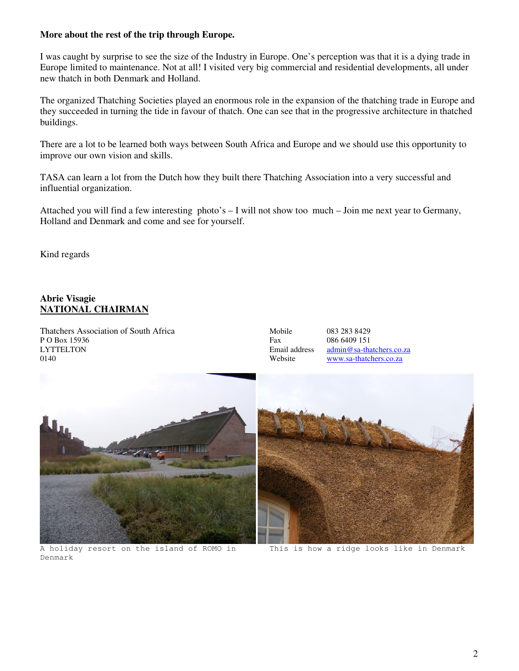#### **More about the rest of the trip through Europe.**

I was caught by surprise to see the size of the Industry in Europe. One's perception was that it is a dying trade in Europe limited to maintenance. Not at all! I visited very big commercial and residential developments, all under new thatch in both Denmark and Holland.

The organized Thatching Societies played an enormous role in the expansion of the thatching trade in Europe and they succeeded in turning the tide in favour of thatch. One can see that in the progressive architecture in thatched buildings.

There are a lot to be learned both ways between South Africa and Europe and we should use this opportunity to improve our own vision and skills.

TASA can learn a lot from the Dutch how they built there Thatching Association into a very successful and influential organization.

Attached you will find a few interesting photo's – I will not show too much – Join me next year to Germany, Holland and Denmark and come and see for yourself.

Kind regards

### **Abrie Visagie NATIONAL CHAIRMAN**

Thatchers Association of South Africa Mobile 083 283 8429 P O Box 15936 Fax 086 6409 151<br>
LYTTELTON Email address admin@sa-tha LYTTELTON Email address admin@sa-thatchers.co.za<br>0140 Website Website www.sa-thatchers.co.za

www.sa-thatchers.co.za



A holiday resort on the island of ROMO in This is how a ridge looks like in Denmark Denmark